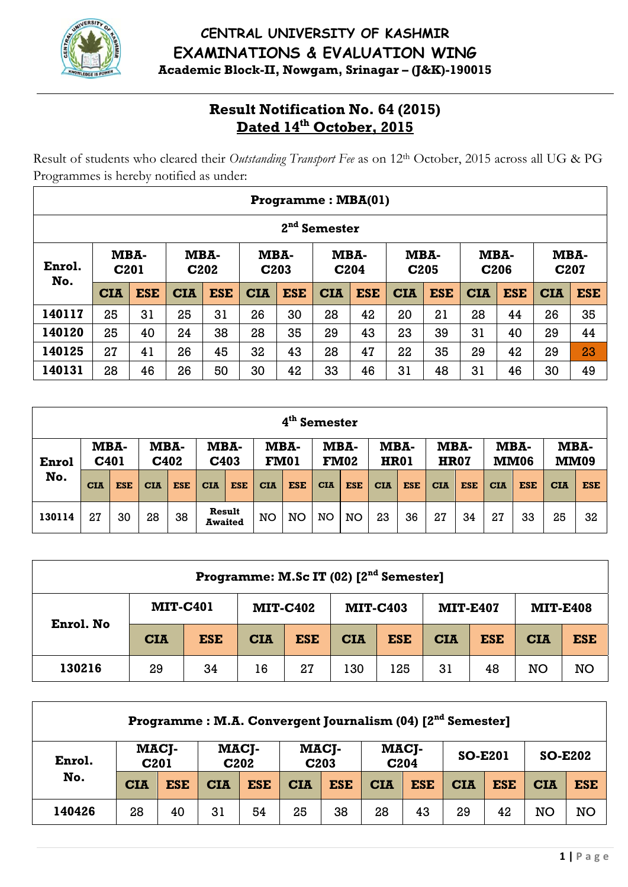

### CENTRAL UNIVERSITY OF KASHMIR **EXAMINATIONS & EVALUATION WING** Academic Block-II, Nowgam, Srinagar - (J&K)-190015

# **Result Notification No. 64 (2015)**<br>Dated 14<sup>th</sup> October, 2015

Result of students who cleared their Outstanding Transport Fee as on 12th October, 2015 across all UG & PG Programmes is hereby notified as under:

|        |                                                                                                                                                                                             |            |            |            |            | Programme: MBA(01) |                 |            |            |            |            |            |            |            |  |
|--------|---------------------------------------------------------------------------------------------------------------------------------------------------------------------------------------------|------------|------------|------------|------------|--------------------|-----------------|------------|------------|------------|------------|------------|------------|------------|--|
|        |                                                                                                                                                                                             |            |            |            |            | 2 <sub>nd</sub>    | <b>Semester</b> |            |            |            |            |            |            |            |  |
| Enrol. | MBA-<br>MBA-<br>MBA-<br>MBA-<br>MBA-<br>MBA-<br>MBA-<br>C <sub>201</sub><br>C <sub>202</sub><br>C <sub>206</sub><br>C207<br>C <sub>203</sub><br>C <sub>204</sub><br>C <sub>205</sub><br>No. |            |            |            |            |                    |                 |            |            |            |            |            |            |            |  |
|        | <b>CIA</b>                                                                                                                                                                                  | <b>ESE</b> | <b>CIA</b> | <b>ESE</b> | <b>CIA</b> | <b>ESE</b>         | <b>CIA</b>      | <b>ESE</b> | <b>CIA</b> | <b>ESE</b> | <b>CIA</b> | <b>ESE</b> | <b>CIA</b> | <b>ESE</b> |  |
| 140117 | 25                                                                                                                                                                                          | 31         | 25         | 31         | 26         | 30                 | 28              | 42         | 20         | 21         | 28         | 44         | 26         | 35         |  |
| 140120 | 25                                                                                                                                                                                          | 40         | 24         | 38         | 28         | 35                 | 29              | 43         | 23         | 39         | 31         | 40         | 29         | 44         |  |
| 140125 | 27                                                                                                                                                                                          | 41         | 26         | 45         | 32         | 43                 | 28              | 47         | 22         | 35         | 29         | 42         | 29         | 23         |  |
| 140131 | 28                                                                                                                                                                                          | 46         | 26         | 50         | 30         | 42                 | 33              | 46         | 31         | 48         | 31         | 46         | 30         | 49         |  |

|        |                          |            |            |            |            |                          |            | 4 <sup>th</sup> Semester |            |                     |             |            |                     |            |            |                     |                     |            |
|--------|--------------------------|------------|------------|------------|------------|--------------------------|------------|--------------------------|------------|---------------------|-------------|------------|---------------------|------------|------------|---------------------|---------------------|------------|
| Enrol  | MBA-<br>C <sub>401</sub> |            | MBA-       | C402       | C403       | MBA-                     |            | MBA-<br><b>FM01</b>      |            | MBA-<br><b>FM02</b> | <b>HR01</b> | MBA-       | MBA-<br><b>HR07</b> |            |            | MBA-<br><b>MM06</b> | MBA-<br><b>MM09</b> |            |
| No.    | <b>CIA</b>               | <b>ESE</b> | <b>CIA</b> | <b>ESE</b> | <b>CIA</b> | <b>ESE</b>               | <b>CIA</b> | <b>ESE</b>               | <b>CIA</b> | <b>ESE</b>          | <b>CIA</b>  | <b>ESE</b> | <b>CIA</b>          | <b>ESE</b> | <b>CIA</b> | <b>ESE</b>          | <b>CIA</b>          | <b>ESE</b> |
| 130114 | 27                       | 30         | 28         | 38         |            | Result<br><b>Awaited</b> | NO         | <b>NO</b>                | NO         | NO                  | 23          | 36         | 27                  | 34         | 27         | 33                  | 25                  | 32         |

|           |                 |            | Programme: M.Sc IT (02) [2 <sup>nd</sup> Semester] |                 |            |                 |            |                 |                 |            |
|-----------|-----------------|------------|----------------------------------------------------|-----------------|------------|-----------------|------------|-----------------|-----------------|------------|
| Enrol. No | <b>MIT-C401</b> |            |                                                    | <b>MIT-C402</b> |            | <b>MIT-C403</b> |            | <b>MIT-E407</b> | <b>MIT-E408</b> |            |
|           | <b>CIA</b>      | <b>ESE</b> | <b>CIA</b>                                         | <b>ESE</b>      | <b>CIA</b> | <b>ESE</b>      | <b>CIA</b> | <b>ESE</b>      | <b>CIA</b>      | <b>ESE</b> |
| 130216    | 29              | 34         | 16                                                 | 27              | 130        | 125             | 31         | 48              | <b>NO</b>       | <b>NO</b>  |

|        |                  |            |            |                           | Programme: M.A. Convergent Journalism (04) [2 <sup>nd</sup> Semester] |            |            |                           |                |            |                |            |
|--------|------------------|------------|------------|---------------------------|-----------------------------------------------------------------------|------------|------------|---------------------------|----------------|------------|----------------|------------|
| Enrol. | C <sub>201</sub> | MACJ-      |            | MACJ-<br>C <sub>202</sub> | C <sub>203</sub>                                                      | MACJ-      |            | MACJ-<br>C <sub>204</sub> | <b>SO-E201</b> |            | <b>SO-E202</b> |            |
| No.    | <b>CIA</b>       | <b>ESE</b> | <b>CIA</b> | <b>ESE</b>                | <b>CIA</b>                                                            | <b>ESE</b> | <b>CIA</b> | <b>ESE</b>                | <b>CIA</b>     | <b>ESE</b> | <b>CIA</b>     | <b>ESE</b> |
| 140426 | 28               | 40         | 31         | 54                        | 25                                                                    | 38         | 28         | 43                        | 29             | 42         | NO             | <b>NO</b>  |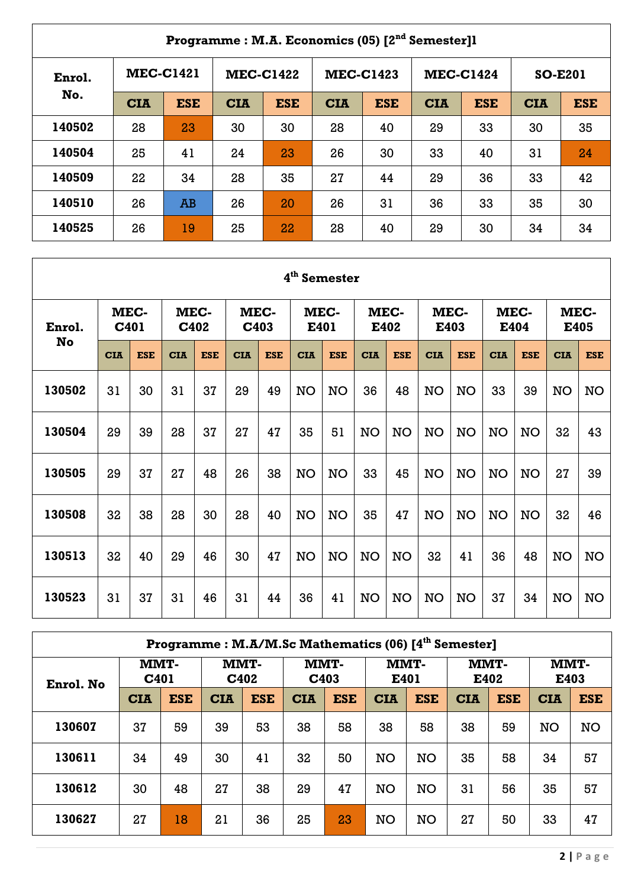|        |            |                  |            |                  | Programme: M.A. Economics (05) [2 <sup>nd</sup> Semester]1 |                  |            |                  |                |            |
|--------|------------|------------------|------------|------------------|------------------------------------------------------------|------------------|------------|------------------|----------------|------------|
| Enrol. |            | <b>MEC-C1421</b> |            | <b>MEC-C1422</b> |                                                            | <b>MEC-C1423</b> |            | <b>MEC-C1424</b> | <b>SO-E201</b> |            |
| No.    | <b>CIA</b> | <b>ESE</b>       | <b>CIA</b> | <b>ESE</b>       | <b>CIA</b>                                                 | <b>ESE</b>       | <b>CIA</b> | <b>ESE</b>       | <b>CIA</b>     | <b>ESE</b> |
| 140502 | 28         | 23               | 30         | 30               | 28                                                         | 40               | 29         | 33               | 30             | 35         |
| 140504 | 25         | 41               | 24         | 23               | 26                                                         | 30               | 33         | 40               | 31             | 24         |
| 140509 | 22         | 34               | 28         | 35               | 27                                                         | 44               | 29         | 36               | 33             | 42         |
| 140510 | 26         | AB               | 26         | 20               | 26                                                         | 31               | 36         | 33               | 35             | 30         |
| 140525 | 26         | 19               | 25         | 22               | 28                                                         | 40               | 29         | 30               | 34             | 34         |

 $\Gamma$ 

|        |                  |            |            |              |            |              | 4 <sup>th</sup> Semester |            |            |              |            |              |            |              |            |              |
|--------|------------------|------------|------------|--------------|------------|--------------|--------------------------|------------|------------|--------------|------------|--------------|------------|--------------|------------|--------------|
| Enrol. | C <sub>401</sub> | MEC-       |            | MEC-<br>C402 |            | MEC-<br>C403 | E401                     | MEC-       |            | MEC-<br>E402 |            | MEC-<br>E403 |            | MEC-<br>E404 |            | MEC-<br>E405 |
| No     | <b>CIA</b>       | <b>ESE</b> | <b>CIA</b> | <b>ESE</b>   | <b>CIA</b> | <b>ESE</b>   | <b>CIA</b>               | <b>ESE</b> | <b>CIA</b> | <b>ESE</b>   | <b>CIA</b> | <b>ESE</b>   | <b>CIA</b> | <b>ESE</b>   | <b>CIA</b> | <b>ESE</b>   |
| 130502 | 31               | 30         | 31         | 37           | 29         | 49           | <b>NO</b>                | <b>NO</b>  | 36         | 48           | <b>NO</b>  | <b>NO</b>    | 33         | 39           | NO         | <b>NO</b>    |
| 130504 | 29               | 39         | 28         | 37           | 27         | 47           | 35                       | 51         | <b>NO</b>  | NO           | <b>NO</b>  | NO           | <b>NO</b>  | <b>NO</b>    | 32         | 43           |
| 130505 | 29               | 37         | 27         | 48           | 26         | 38           | <b>NO</b>                | <b>NO</b>  | 33         | 45           | <b>NO</b>  | <b>NO</b>    | <b>NO</b>  | <b>NO</b>    | 27         | 39           |
| 130508 | 32               | 38         | 28         | 30           | 28         | 40           | <b>NO</b>                | <b>NO</b>  | 35         | 47           | <b>NO</b>  | <b>NO</b>    | <b>NO</b>  | <b>NO</b>    | 32         | 46           |
| 130513 | 32               | 40         | 29         | 46           | 30         | 47           | <b>NO</b>                | <b>NO</b>  | <b>NO</b>  | <b>NO</b>    | 32         | 41           | 36         | 48           | <b>NO</b>  | <b>NO</b>    |
| 130523 | 31               | 37         | 31         | 46           | 31         | 44           | 36                       | 41         | <b>NO</b>  | <b>NO</b>    | <b>NO</b>  | <b>NO</b>    | 37         | 34           | NO         | <b>NO</b>    |

|           |                     |            | Programme: M.A/M.Sc Mathematics (06) [4 <sup>th</sup> Semester] |            |            |                          |              |            |            |              |            |              |
|-----------|---------------------|------------|-----------------------------------------------------------------|------------|------------|--------------------------|--------------|------------|------------|--------------|------------|--------------|
| Enrol. No | <b>MMT-</b><br>C401 |            | MMT-                                                            | C402       |            | MMT-<br>C <sub>403</sub> | MMT-<br>E401 |            |            | MMT-<br>E402 |            | MMT-<br>E403 |
|           | <b>CIA</b>          | <b>ESE</b> | <b>CIA</b>                                                      | <b>ESE</b> | <b>CIA</b> | <b>ESE</b>               | <b>CIA</b>   | <b>ESE</b> | <b>CIA</b> | <b>ESE</b>   | <b>CIA</b> | <b>ESE</b>   |
| 130607    | 37                  | 59         | 39                                                              | 53         | 38         | 58                       | 38           | 58         | 38         | 59           | <b>NO</b>  | <b>NO</b>    |
| 130611    | 34                  | 49         | 30                                                              | 41         | 32         | 50                       | <b>NO</b>    | <b>NO</b>  | 35         | 58           | 34         | 57           |
| 130612    | 30                  | 48         | 27                                                              | 38         | 29         | 47                       | <b>NO</b>    | <b>NO</b>  | 31         | 56           | 35         | 57           |
| 130627    | 27                  | 18         | 21                                                              | 36         | 25         | 23                       | <b>NO</b>    | <b>NO</b>  | 27         | 50           | 33         | 47           |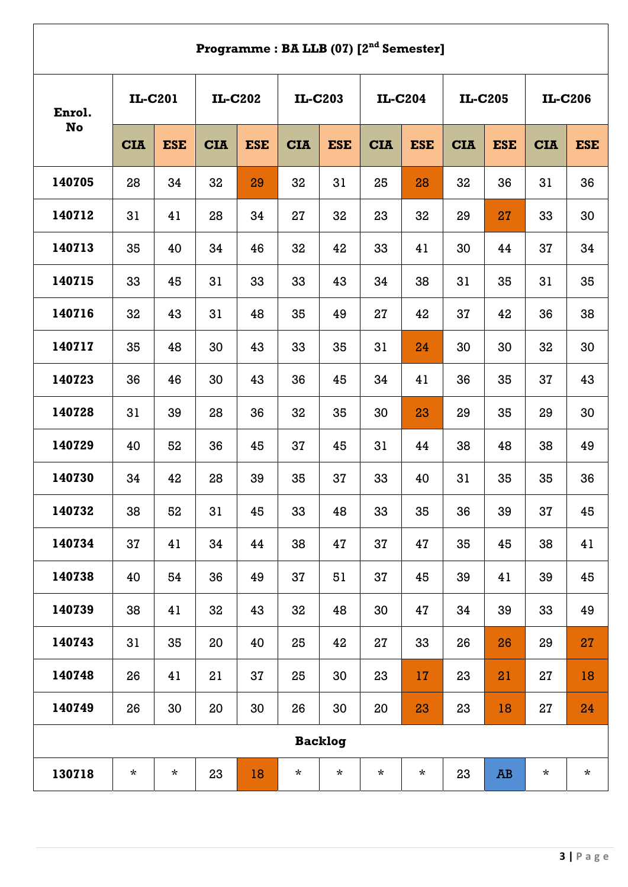## **Programme : BA LLB (07) [2nd Semester]**

| Enrol.    | IL-C201    |            |            | IL-C202    |            | IL-C203        |            | IL-C204    |            | IL-C205         |            | IL-C206    |
|-----------|------------|------------|------------|------------|------------|----------------|------------|------------|------------|-----------------|------------|------------|
| <b>No</b> | <b>CIA</b> | <b>ESE</b> | <b>CIA</b> | <b>ESE</b> | <b>CIA</b> | <b>ESE</b>     | <b>CIA</b> | <b>ESE</b> | <b>CIA</b> | <b>ESE</b>      | <b>CIA</b> | <b>ESE</b> |
| 140705    | 28         | 34         | 32         | 29         | 32         | 31             | 25         | 28         | 32         | 36              | 31         | 36         |
| 140712    | 31         | 41         | 28         | 34         | 27         | 32             | 23         | 32         | 29         | 27              | 33         | 30         |
| 140713    | 35         | 40         | 34         | 46         | 32         | 42             | 33         | 41         | 30         | 44              | 37         | 34         |
| 140715    | 33         | 45         | 31         | 33         | 33         | 43             | 34         | 38         | 31         | 35              | 31         | 35         |
| 140716    | 32         | 43         | 31         | 48         | 35         | 49             | 27         | 42         | 37         | 42              | 36         | 38         |
| 140717    | 35         | 48         | 30         | 43         | 33         | 35             | 31         | 24         | 30         | 30              | 32         | 30         |
| 140723    | 36         | 46         | 30         | 43         | 36         | 45             | 34         | 41         | 36         | 35              | 37         | 43         |
| 140728    | 31         | 39         | 28         | 36         | 32         | 35             | 30         | 23         | 29         | 35              | 29         | 30         |
| 140729    | 40         | 52         | 36         | 45         | 37         | 45             | 31         | 44         | 38         | 48              | 38         | 49         |
| 140730    | 34         | 42         | 28         | 39         | 35         | 37             | 33         | 40         | 31         | 35              | 35         | 36         |
| 140732    | 38         | 52         | 31         | 45         | 33         | 48             | 33         | 35         | 36         | 39              | 37         | 45         |
| 140734    | 37         | 41         | 34         | 44         | 38         | 47             | 37         | 47         | 35         | 45              | 38         | 41         |
| 140738    | 40         | 54         | 36         | 49         | 37         | 51             | 37         | 45         | 39         | 41              | 39         | 45         |
| 140739    | 38         | 41         | 32         | 43         | 32         | 48             | 30         | 47         | 34         | 39              | 33         | 49         |
| 140743    | 31         | 35         | 20         | 40         | 25         | 42             | 27         | 33         | 26         | 26              | 29         | 27         |
| 140748    | 26         | 41         | 21         | 37         | 25         | 30             | 23         | 17         | 23         | 21              | 27         | 18         |
| 140749    | 26         | 30         | 20         | 30         | 26         | 30             | 20         | 23         | 23         | 18              | 27         | 24         |
|           |            |            |            |            |            | <b>Backlog</b> |            |            |            |                 |            |            |
| 130718    | $\star$    | $\star$    | 23         | 18         | $\star$    | $\star$        | $\star$    | $\star$    | 23         | $\overline{AB}$ | $\star$    | $\star$    |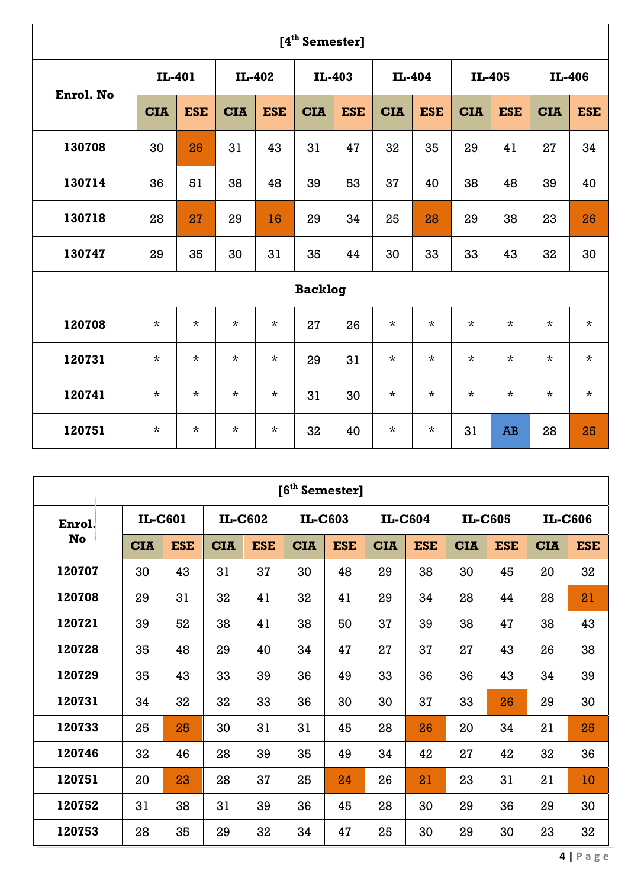|           |            |            |            |            | [4 <sup>th</sup> Semester] |            |            |            |            |            |            |            |
|-----------|------------|------------|------------|------------|----------------------------|------------|------------|------------|------------|------------|------------|------------|
|           | IL-401     |            |            | IL-402     | IL-403                     |            |            | IL-404     |            | IL-405     |            | IL-406     |
| Enrol. No | <b>CIA</b> | <b>ESE</b> | <b>CIA</b> | <b>ESE</b> | <b>CIA</b>                 | <b>ESE</b> | <b>CIA</b> | <b>ESE</b> | <b>CIA</b> | <b>ESE</b> | <b>CIA</b> | <b>ESE</b> |
| 130708    | 30         | 26         | 31         | 43         | 31                         | 47         | 32         | 35         | 29         | 41         | 27         | 34         |
| 130714    | 36         | 51         | 38         | 48         | 39                         | 53         | 37         | 40         | 38         | 48         | 39         | 40         |
| 130718    | 28         | 27         | 29         | 16         | 29                         | 34         | 25         | 28         | 29         | 38         | 23         | 26         |
| 130747    | 29         | 35         | 30         | 31         | 35                         | 44         | 30         | 33         | 33         | 43         | 32         | 30         |
|           |            |            |            |            | <b>Backlog</b>             |            |            |            |            |            |            |            |
| 120708    | $\star$    | $\star$    | $\star$    | $\star$    | 27                         | 26         | $\star$    | $\star$    | $\star$    | $\star$    | $\star$    | $\star$    |
| 120731    | $\star$    | $\star$    | $\star$    | $\star$    | 29                         | 31         | $\star$    | $\star$    | $\star$    | $\star$    | $\star$    | $\star$    |
| 120741    | $\star$    | $\star$    | $\star$    | $\star$    | 31                         | 30         | $\star$    | $\star$    | $\star$    | $\star$    | $\star$    | $\star$    |
| 120751    | $\star$    | $\star$    | $\star$    | $\star$    | 32                         | 40         | $\star$    | $\star$    | 31         | <b>AB</b>  | 28         | 25         |

|        |            |            |            |            | [6 <sup>th</sup> Semester] |            |            |            |            |            |            |            |
|--------|------------|------------|------------|------------|----------------------------|------------|------------|------------|------------|------------|------------|------------|
| Enrol. | IL-C601    |            |            | IL-C602    |                            | IL-C603    |            | IL-C604    |            | IL-C605    |            | IL-C606    |
| No     | <b>CIA</b> | <b>ESE</b> | <b>CIA</b> | <b>ESE</b> | <b>CIA</b>                 | <b>ESE</b> | <b>CIA</b> | <b>ESE</b> | <b>CIA</b> | <b>ESE</b> | <b>CIA</b> | <b>ESE</b> |
| 120707 | 30         | 43         | 31         | 37         | 30                         | 48         | 29         | 38         | 30         | 45         | 20         | 32         |
| 120708 | 29         | 31         | 32         | 41         | 32                         | 41         | 29         | 34         | 28         | 44         | 28         | 21         |
| 120721 | 39         | 52         | 38         | 41         | 38                         | 50         | 37         | 39         | 38         | 47         | 38         | 43         |
| 120728 | 35         | 48         | 29         | 40         | 34                         | 47         | 27         | 37         | 27         | 43         | 26         | 38         |
| 120729 | 35         | 43         | 33         | 39         | 36                         | 49         | 33         | 36         | 36         | 43         | 34         | 39         |
| 120731 | 34         | 32         | 32         | 33         | 36                         | 30         | 30         | 37         | 33         | 26         | 29         | 30         |
| 120733 | 25         | 25         | 30         | 31         | 31                         | 45         | 28         | 26         | 20         | 34         | 21         | 25         |
| 120746 | 32         | 46         | 28         | 39         | 35                         | 49         | 34         | 42         | 27         | 42         | 32         | 36         |
| 120751 | 20         | 23         | 28         | 37         | 25                         | 24         | 26         | 21         | 23         | 31         | 21         | 10         |
| 120752 | 31         | 38         | 31         | 39         | 36                         | 45         | 28         | 30         | 29         | 36         | 29         | 30         |
| 120753 | 28         | 35         | 29         | 32         | 34                         | 47         | 25         | 30         | 29         | 30         | 23         | 32         |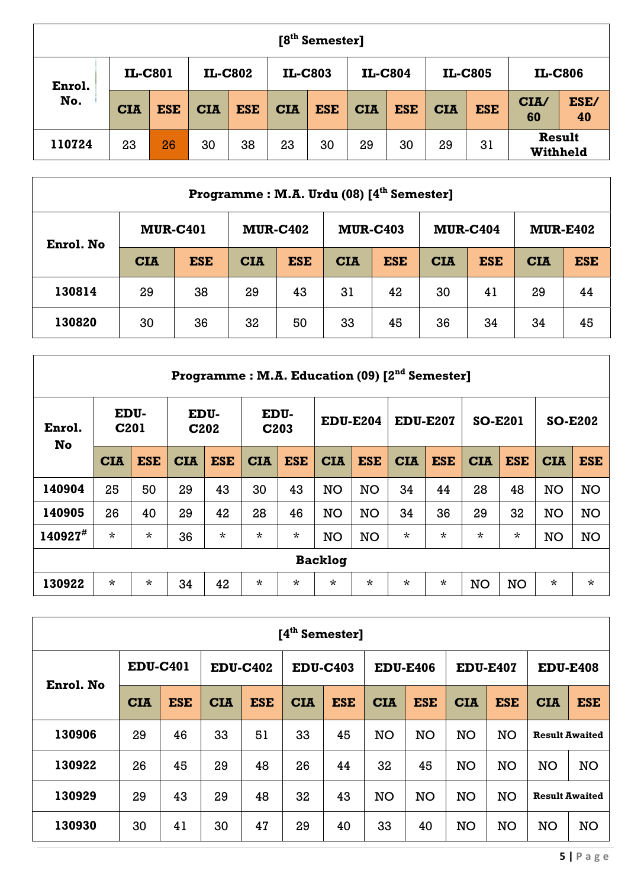|        |            |            |            |            |            | $[8th$ Semester] |            |            |            |            |                           |            |
|--------|------------|------------|------------|------------|------------|------------------|------------|------------|------------|------------|---------------------------|------------|
| Enrol. |            | IL-C801    |            | IL-C802    |            | IL-C803          |            | IL-C804    |            | IL-C805    | IL-C806                   |            |
| No.    | <b>CIA</b> | <b>ESE</b> | <b>CIA</b> | <b>ESE</b> | <b>CIA</b> | <b>ESE</b>       | <b>CIA</b> | <b>ESE</b> | <b>CIA</b> | <b>ESE</b> | CIA/<br>60                | ESE/<br>40 |
| 110724 | 23         | 26         | 30         | 38         | 23         | 30               | 29         | 30         | 29         | 31         | <b>Result</b><br>Withheld |            |

|           |                 |            |                 |            | Programme: M.A. Urdu (08) [4 <sup>th</sup> Semester] |            |                 |            |            |                 |
|-----------|-----------------|------------|-----------------|------------|------------------------------------------------------|------------|-----------------|------------|------------|-----------------|
|           | <b>MUR-C401</b> |            | <b>MUR-C402</b> |            | <b>MUR-C403</b>                                      |            | <b>MUR-C404</b> |            |            | <b>MUR-E402</b> |
| Enrol. No | <b>CIA</b>      | <b>ESE</b> | <b>CIA</b>      | <b>ESE</b> | <b>CIA</b>                                           | <b>ESE</b> | <b>CIA</b>      | <b>ESE</b> | <b>CIA</b> | <b>ESE</b>      |
| 130814    | 29              | 38         | 29              | 43         | 31                                                   | 42         | 30              | 41         | 29         | 44              |
| 130820    | 30              | 36         | 32              | 50         | 33                                                   | 45         | 36              | 34         | 34         | 45              |

|               | <b>Programme: M.A. Education (09) [2<sup>nd</sup> Semester]</b> |            |            |                                       |            |                          |                 |            |                 |            |                |            |                |            |
|---------------|-----------------------------------------------------------------|------------|------------|---------------------------------------|------------|--------------------------|-----------------|------------|-----------------|------------|----------------|------------|----------------|------------|
| Enrol.<br>No  | EDU-<br>C <sub>201</sub>                                        |            |            | EDU-<br>C <sub>2</sub> 0 <sub>2</sub> |            | EDU-<br>C <sub>203</sub> | <b>EDU-E204</b> |            | <b>EDU-E207</b> |            | <b>SO-E201</b> |            | <b>SO-E202</b> |            |
|               | <b>CIA</b>                                                      | <b>ESE</b> | <b>CIA</b> | <b>ESE</b>                            | <b>CIA</b> | <b>ESE</b>               | <b>CIA</b>      | <b>ESE</b> | <b>CIA</b>      | <b>ESE</b> | <b>CIA</b>     | <b>ESE</b> | <b>CIA</b>     | <b>ESE</b> |
| 140904        | 25                                                              | 50         | 29         | 43                                    | 30         | 43                       | <b>NO</b>       | <b>NO</b>  | 34              | 44         | 28             | 48         | NO             | <b>NO</b>  |
| 140905        | 26                                                              | 40         | 29         | 42                                    | 28         | 46                       | <b>NO</b>       | <b>NO</b>  | 34              | 36         | 29             | 32         | <b>NO</b>      | <b>NO</b>  |
| $140927^{\#}$ | $\star$                                                         | $\star$    | 36         | $\star$                               | $\star$    | $\star$                  | <b>NO</b>       | <b>NO</b>  | $\star$         | $\star$    | $\star$        | $\star$    | <b>NO</b>      | <b>NO</b>  |
|               | <b>Backlog</b>                                                  |            |            |                                       |            |                          |                 |            |                 |            |                |            |                |            |
| 130922        | $\star$                                                         | $\star$    | 34         | 42                                    | $\star$    | $\star$                  | $\star$         | $\star$    | $\star$         | $\star$    | NO             | <b>NO</b>  | $\star$        | $\star$    |

| [4 <sup>th</sup> Semester] |                 |            |            |                 |                 |            |            |                 |                 |            |                       |                       |
|----------------------------|-----------------|------------|------------|-----------------|-----------------|------------|------------|-----------------|-----------------|------------|-----------------------|-----------------------|
| Enrol. No                  | <b>EDU-C401</b> |            |            | <b>EDU-C402</b> | <b>EDU-C403</b> |            |            | <b>EDU-E406</b> | <b>EDU-E407</b> |            | <b>EDU-E408</b>       |                       |
|                            | <b>CIA</b>      | <b>ESE</b> | <b>CIA</b> | <b>ESE</b>      | <b>CIA</b>      | <b>ESE</b> | <b>CIA</b> | <b>ESE</b>      | <b>CIA</b>      | <b>ESE</b> | <b>CIA</b>            | <b>ESE</b>            |
| 130906                     | 29              | 46         | 33         | 51              | 33              | 45         | <b>NO</b>  | <b>NO</b>       | <b>NO</b>       | <b>NO</b>  |                       | <b>Result Awaited</b> |
| 130922                     | 26              | 45         | 29         | 48              | 26              | 44         | 32         | 45              | <b>NO</b>       | <b>NO</b>  | <b>NO</b>             | <b>NO</b>             |
| 130929                     | 29              | 43         | 29         | 48              | 32              | 43         | <b>NO</b>  | <b>NO</b>       | <b>NO</b>       | <b>NO</b>  | <b>Result Awaited</b> |                       |
| 130930                     | 30              | 41         | 30         | 47              | 29              | 40         | 33         | 40              | <b>NO</b>       | <b>NO</b>  | <b>NO</b>             | <b>NO</b>             |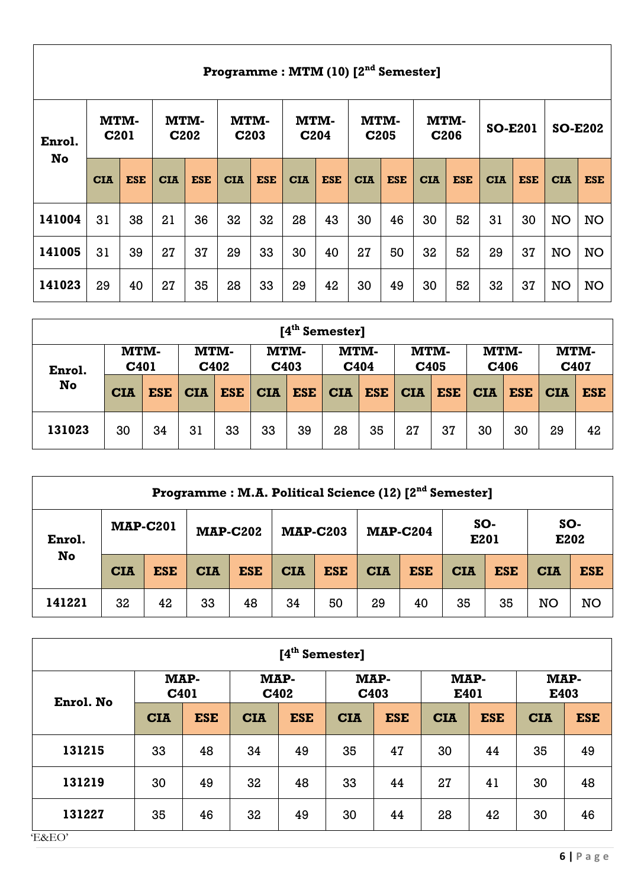|        | Programme: MTM (10) [2 <sup>nd</sup> Semester] |            |                           |            |                          |            |                                 |            |                          |            |                          |            |                |            |                |            |
|--------|------------------------------------------------|------------|---------------------------|------------|--------------------------|------------|---------------------------------|------------|--------------------------|------------|--------------------------|------------|----------------|------------|----------------|------------|
| Enrol. | <b>MTM-</b><br>C <sub>201</sub>                |            | MTM-<br>C <sub>2</sub> 02 |            | MTM-<br>C <sub>203</sub> |            | <b>MTM-</b><br>C <sub>204</sub> |            | MTM-<br>C <sub>205</sub> |            | MTM-<br>C <sub>206</sub> |            | <b>SO-E201</b> |            | <b>SO-E202</b> |            |
| No     | <b>CIA</b>                                     | <b>ESE</b> | <b>CIA</b>                | <b>ESE</b> | <b>CIA</b>               | <b>ESE</b> | <b>CIA</b>                      | <b>ESE</b> | <b>CIA</b>               | <b>ESE</b> | <b>CIA</b>               | <b>ESE</b> | <b>CIA</b>     | <b>ESE</b> | <b>CIA</b>     | <b>ESE</b> |
| 141004 | 31                                             | 38         | 21                        | 36         | 32                       | 32         | 28                              | 43         | 30                       | 46         | 30                       | 52         | 31             | 30         | <b>NO</b>      | <b>NO</b>  |
| 141005 | 31                                             | 39         | 27                        | 37         | 29                       | 33         | 30                              | 40         | 27                       | 50         | 32                       | 52         | 29             | 37         | <b>NO</b>      | <b>NO</b>  |
| 141023 | 29                                             | 40         | 27                        | 35         | 28                       | 33         | 29                              | 42         | 30                       | 49         | 30                       | 52         | 32             | 37         | <b>NO</b>      | <b>NO</b>  |

| [4 <sup>th</sup> Semester] |                          |            |              |            |            |                     |            |              |            |              |            |              |            |              |  |
|----------------------------|--------------------------|------------|--------------|------------|------------|---------------------|------------|--------------|------------|--------------|------------|--------------|------------|--------------|--|
| Enrol.                     | MTM-<br>C <sub>401</sub> |            | MTM-<br>C402 |            |            | <b>MTM-</b><br>C403 |            | MTM-<br>C404 |            | MTM-<br>C405 |            | MTM-<br>C406 |            | MTM-<br>C407 |  |
| No                         | <b>CIA</b>               | <b>ESE</b> | <b>CIA</b>   | <b>ESE</b> | <b>CIA</b> | <b>ESE</b>          | <b>CIA</b> | <b>ESE</b>   | <b>CIA</b> | <b>ESE</b>   | <b>CIA</b> | <b>ESE</b>   | <b>CIA</b> | <b>ESE</b>   |  |
| 131023                     | 30                       | 34         | 31           | 33         | 33         | 39                  | 28         | 35           | 27         | 37           | 30         | 30           | 29         | 42           |  |

|        | Programme: M.A. Political Science (12) [2 <sup>nd</sup> Semester] |            |                 |            |            |                 |            |                 |            |             |            |             |  |
|--------|-------------------------------------------------------------------|------------|-----------------|------------|------------|-----------------|------------|-----------------|------------|-------------|------------|-------------|--|
| Enrol. | <b>MAP-C201</b>                                                   |            | <b>MAP-C202</b> |            |            | <b>MAP-C203</b> |            | <b>MAP-C204</b> |            | SO-<br>E201 |            | SO-<br>E202 |  |
| No     | <b>CIA</b>                                                        | <b>ESE</b> | <b>CIA</b>      | <b>ESE</b> | <b>CIA</b> | <b>ESE</b>      | <b>CIA</b> | <b>ESE</b>      | <b>CIA</b> | <b>ESE</b>  | <b>CIA</b> | <b>ESE</b>  |  |
| 141221 | 32                                                                | 42         | 33              | 48         | 34         | 50              | 29         | 40              | 35         | 35          | NO         | <b>NO</b>   |  |

| [4 <sup>th</sup> Semester] |                          |            |            |            |            |              |              |            |              |            |  |
|----------------------------|--------------------------|------------|------------|------------|------------|--------------|--------------|------------|--------------|------------|--|
|                            | MAP-<br>C <sub>401</sub> |            | MAP-       | C402       |            | MAP-<br>C403 | MAP-<br>E401 |            | MAP-<br>E403 |            |  |
| Enrol. No                  | <b>CIA</b>               | <b>ESE</b> | <b>CIA</b> | <b>ESE</b> | <b>CIA</b> | <b>ESE</b>   | <b>CIA</b>   | <b>ESE</b> | <b>CIA</b>   | <b>ESE</b> |  |
| 131215                     | 33                       | 48         | 34         | 49         | 35         | 47           | 30           | 44         | 35           | 49         |  |
| 131219                     | 30                       | 49         | 32         | 48         | 33         | 44           | 27           | 41         | 30           | 48         |  |
| 131227                     | 35                       | 46         | 32         | 49         | 30         | 44           | 28           | 42         | 30           | 46         |  |